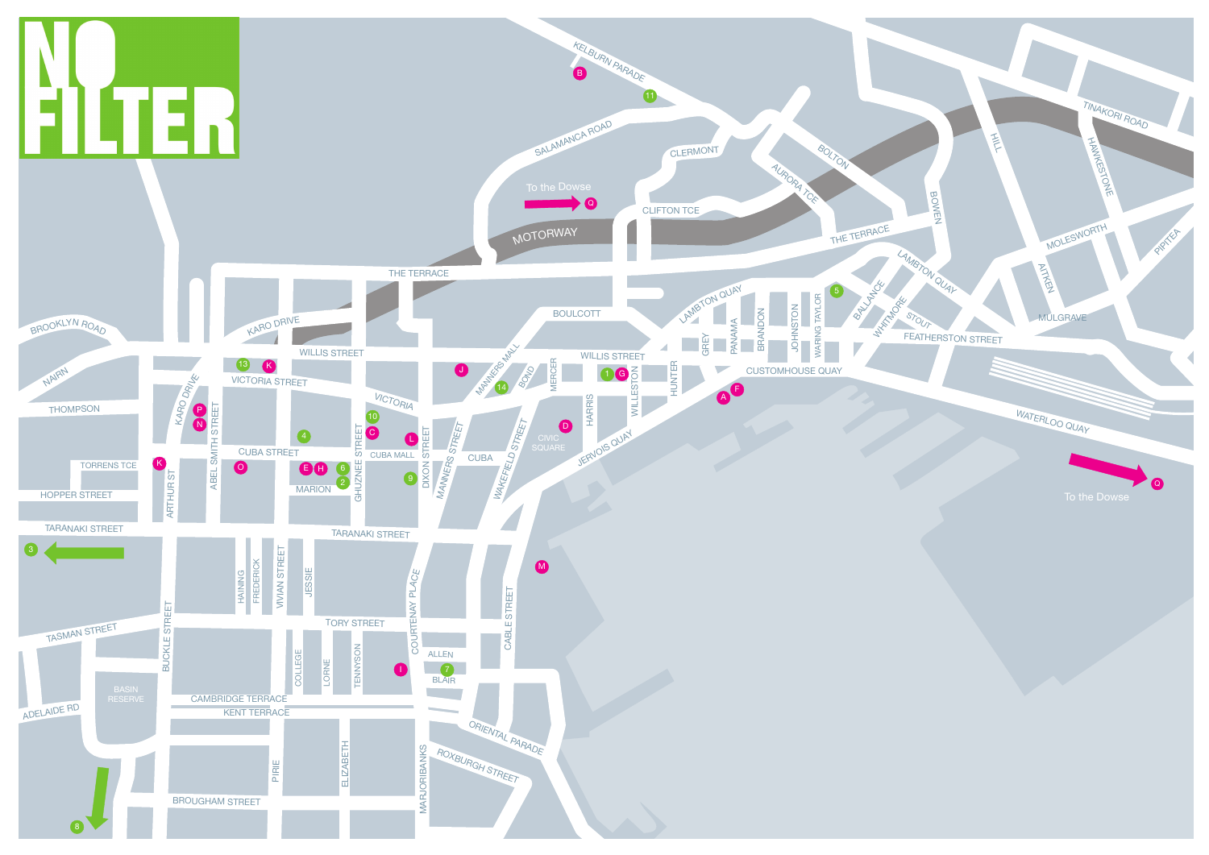